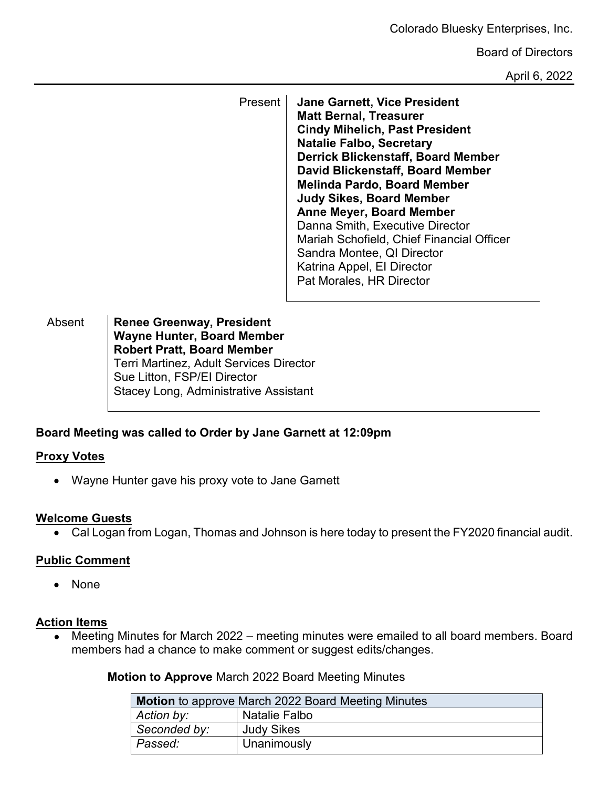Colorado Bluesky Enterprises, Inc.

Board of Directors

April 6, 2022

Present **Jane Garnett, Vice President Matt Bernal, Treasurer Cindy Mihelich, Past President Natalie Falbo, Secretary Derrick Blickenstaff, Board Member David Blickenstaff, Board Member Melinda Pardo, Board Member Judy Sikes, Board Member Anne Meyer, Board Member** Danna Smith, Executive Director Mariah Schofield, Chief Financial Officer Sandra Montee, QI Director Katrina Appel, EI Director Pat Morales, HR Director

Absent **Renee Greenway, President Wayne Hunter, Board Member Robert Pratt, Board Member** Terri Martinez, Adult Services Director Sue Litton, FSP/EI Director Stacey Long, Administrative Assistant

# **Board Meeting was called to Order by Jane Garnett at 12:09pm**

# **Proxy Votes**

• Wayne Hunter gave his proxy vote to Jane Garnett

#### **Welcome Guests**

• Cal Logan from Logan, Thomas and Johnson is here today to present the FY2020 financial audit.

# **Public Comment**

• None

## **Action Items**

● Meeting Minutes for March 2022 – meeting minutes were emailed to all board members. Board members had a chance to make comment or suggest edits/changes.

**Motion to Approve** March 2022 Board Meeting Minutes

|              | Motion to approve March 2022 Board Meeting Minutes |
|--------------|----------------------------------------------------|
| Action by:   | Natalie Falbo                                      |
| Seconded by: | <b>Judy Sikes</b>                                  |
| Passed:      | Unanimously                                        |